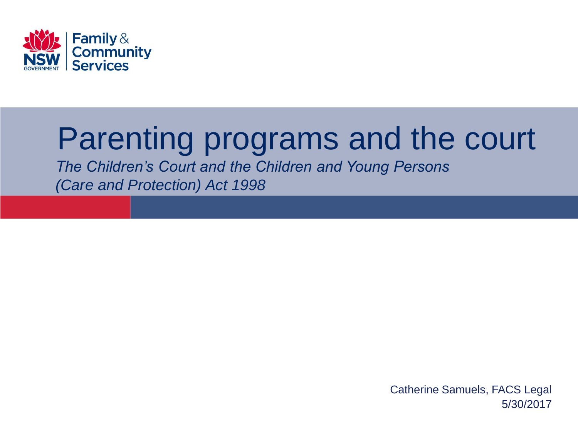

# Parenting programs and the court

*The Children's Court and the Children and Young Persons (Care and Protection) Act 1998*

> 5/30/2017 Catherine Samuels, FACS Legal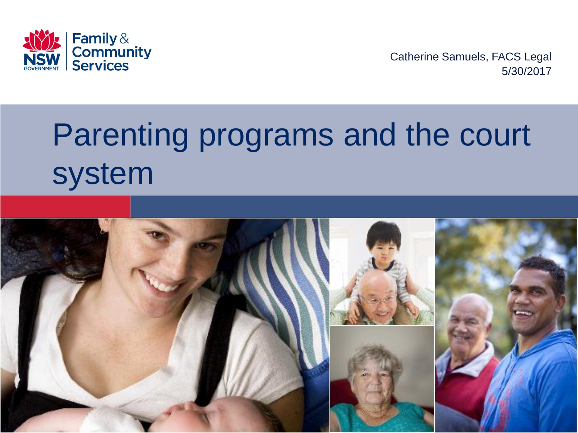

5/30/2017 Catherine Samuels, FACS Legal

# Parenting programs and the court system

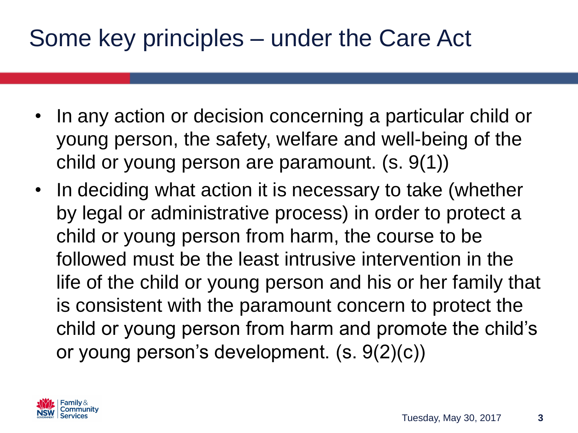### Some key principles – under the Care Act

- In any action or decision concerning a particular child or young person, the safety, welfare and well-being of the child or young person are paramount. (s. 9(1))
- In deciding what action it is necessary to take (whether by legal or administrative process) in order to protect a child or young person from harm, the course to be followed must be the least intrusive intervention in the life of the child or young person and his or her family that is consistent with the paramount concern to protect the child or young person from harm and promote the child's or young person's development. (s. 9(2)(c))

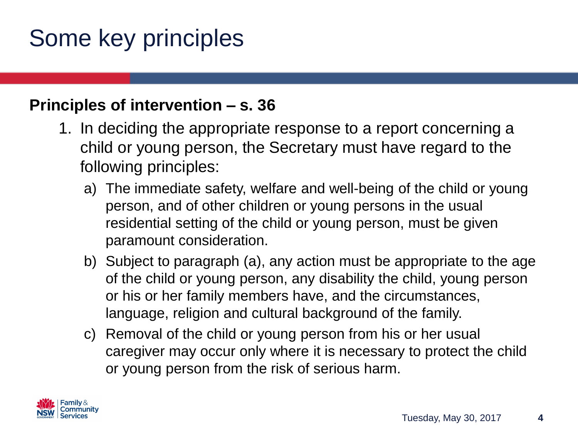# Some key principles

#### **Principles of intervention – s. 36**

- 1. In deciding the appropriate response to a report concerning a child or young person, the Secretary must have regard to the following principles:
	- a) The immediate safety, welfare and well-being of the child or young person, and of other children or young persons in the usual residential setting of the child or young person, must be given paramount consideration.
	- b) Subject to paragraph (a), any action must be appropriate to the age of the child or young person, any disability the child, young person or his or her family members have, and the circumstances, language, religion and cultural background of the family.
	- c) Removal of the child or young person from his or her usual caregiver may occur only where it is necessary to protect the child or young person from the risk of serious harm.

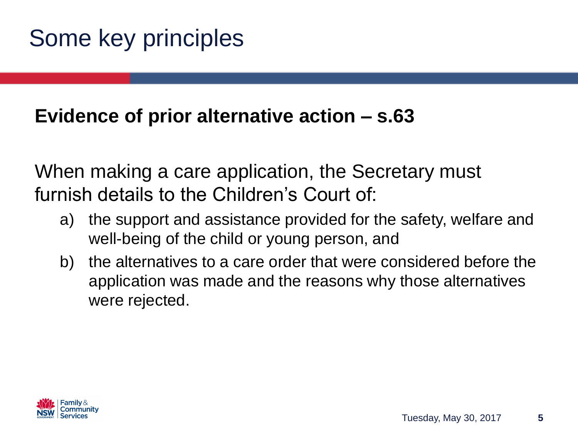#### **Evidence of prior alternative action – s.63**

When making a care application, the Secretary must furnish details to the Children's Court of:

- a) the support and assistance provided for the safety, welfare and well-being of the child or young person, and
- b) the alternatives to a care order that were considered before the application was made and the reasons why those alternatives were rejected.

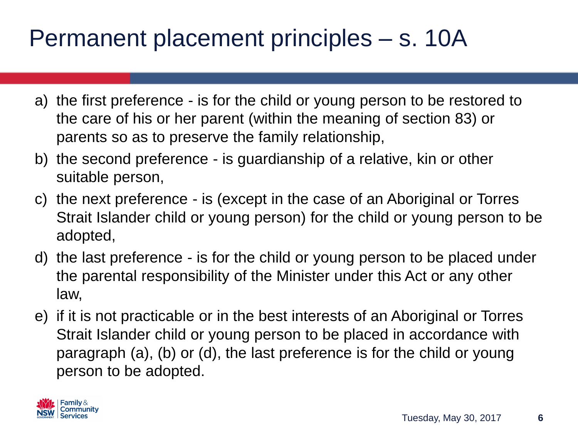# Permanent placement principles – s. 10A

- a) the first preference is for the child or young person to be restored to the care of his or her parent (within the meaning of section 83) or parents so as to preserve the family relationship,
- b) the second preference is guardianship of a relative, kin or other suitable person,
- c) the next preference is (except in the case of an Aboriginal or Torres Strait Islander child or young person) for the child or young person to be adopted,
- d) the last preference is for the child or young person to be placed under the parental responsibility of the Minister under this Act or any other law,
- e) if it is not practicable or in the best interests of an Aboriginal or Torres Strait Islander child or young person to be placed in accordance with paragraph (a), (b) or (d), the last preference is for the child or young person to be adopted.

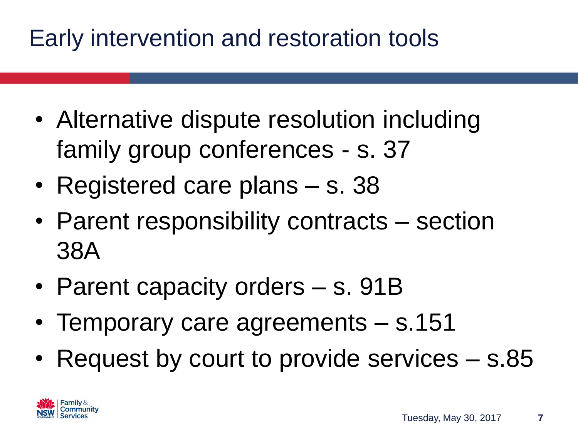# Early intervention and restoration tools

- Alternative dispute resolution including family group conferences - s. 37
- Registered care plans s. 38
- Parent responsibility contracts section 38A
- Parent capacity orders s. 91B
- Temporary care agreements s.151
- Request by court to provide services s.85

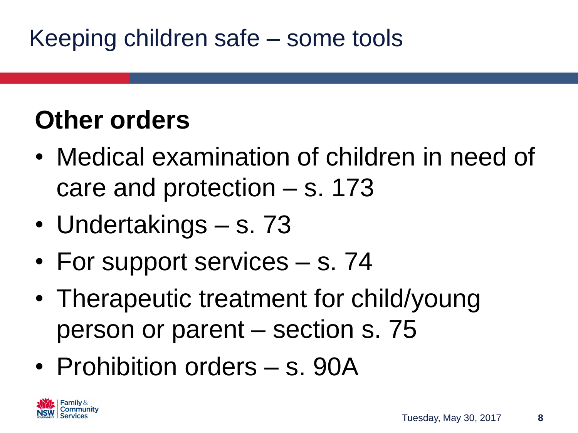# Keeping children safe – some tools

# **Other orders**

- Medical examination of children in need of care and protection – s. 173
- Undertakings s. 73
- For support services s. 74
- Therapeutic treatment for child/young person or parent – section s. 75
- Prohibition orders s. 90A

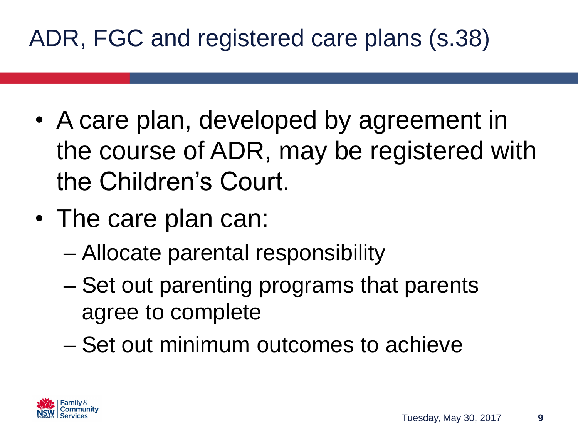# ADR, FGC and registered care plans (s.38)

- A care plan, developed by agreement in the course of ADR, may be registered with the Children's Court.
- The care plan can:
	- Allocate parental responsibility
	- Set out parenting programs that parents agree to complete
	- Set out minimum outcomes to achieve

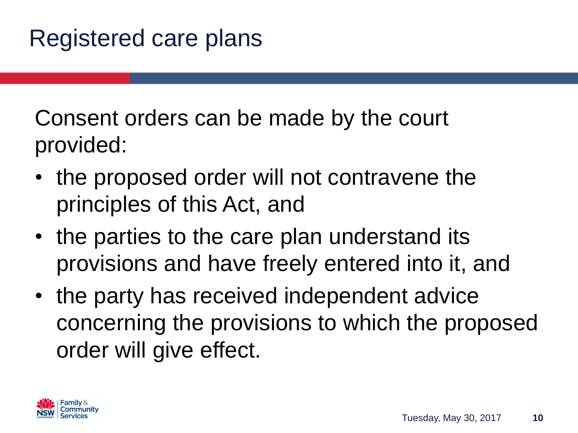Consent orders can be made by the court provided:

- the proposed order will not contravene the principles of this Act, and
- the parties to the care plan understand its provisions and have freely entered into it, and
- the party has received independent advice concerning the provisions to which the proposed order will give effect.

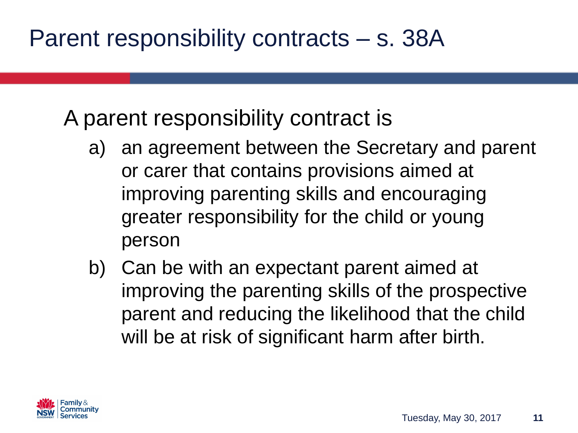A parent responsibility contract is

- a) an agreement between the Secretary and parent or carer that contains provisions aimed at improving parenting skills and encouraging greater responsibility for the child or young person
- b) Can be with an expectant parent aimed at improving the parenting skills of the prospective parent and reducing the likelihood that the child will be at risk of significant harm after birth.

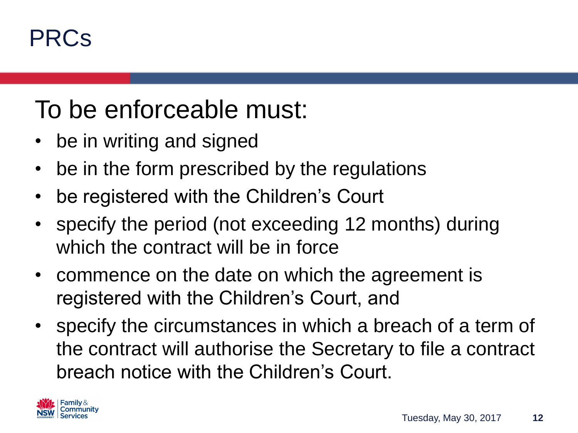### PRCs

# To be enforceable must:

- be in writing and signed
- be in the form prescribed by the regulations
- be registered with the Children's Court
- specify the period (not exceeding 12 months) during which the contract will be in force
- commence on the date on which the agreement is registered with the Children's Court, and
- specify the circumstances in which a breach of a term of the contract will authorise the Secretary to file a contract breach notice with the Children's Court.

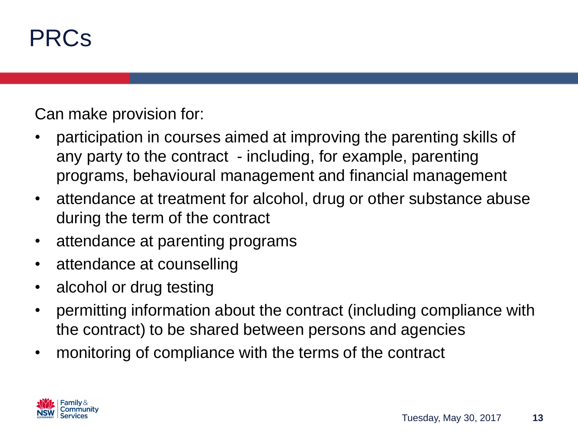### PRCs

Can make provision for:

- participation in courses aimed at improving the parenting skills of any party to the contract - including, for example, parenting programs, behavioural management and financial management
- attendance at treatment for alcohol, drug or other substance abuse during the term of the contract
- attendance at parenting programs
- attendance at counselling
- alcohol or drug testing
- permitting information about the contract (including compliance with the contract) to be shared between persons and agencies
- monitoring of compliance with the terms of the contract

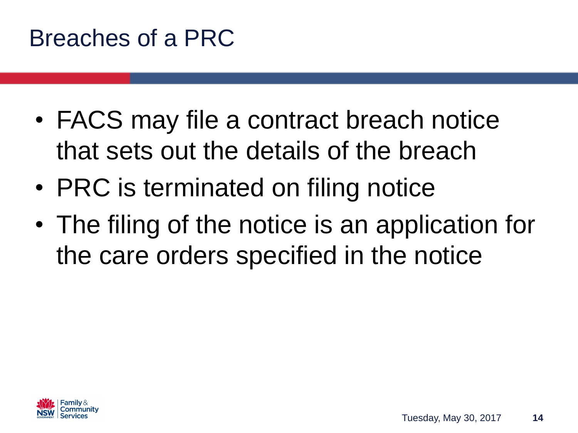#### Breaches of a PRC

- FACS may file a contract breach notice that sets out the details of the breach
- PRC is terminated on filing notice
- The filing of the notice is an application for the care orders specified in the notice

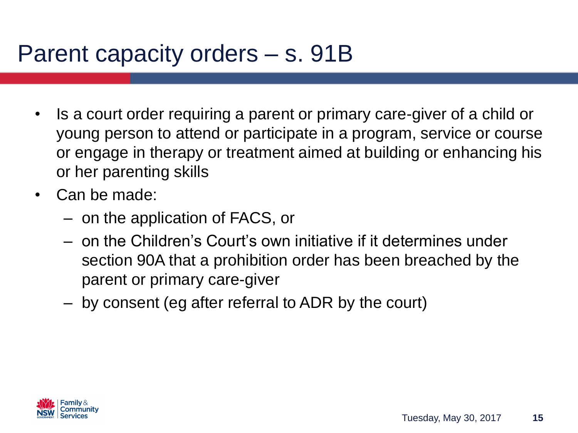#### Parent capacity orders – s. 91B

- Is a court order requiring a parent or primary care-giver of a child or young person to attend or participate in a program, service or course or engage in therapy or treatment aimed at building or enhancing his or her parenting skills
- Can be made:
	- on the application of FACS, or
	- on the Children's Court's own initiative if it determines under section 90A that a prohibition order has been breached by the parent or primary care-giver
	- by consent (eg after referral to ADR by the court)

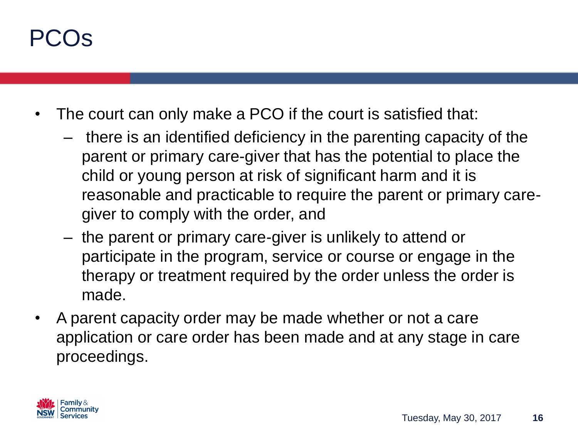# PCOs

- The court can only make a PCO if the court is satisfied that:
	- there is an identified deficiency in the parenting capacity of the parent or primary care-giver that has the potential to place the child or young person at risk of significant harm and it is reasonable and practicable to require the parent or primary caregiver to comply with the order, and
	- the parent or primary care-giver is unlikely to attend or participate in the program, service or course or engage in the therapy or treatment required by the order unless the order is made.
- A parent capacity order may be made whether or not a care application or care order has been made and at any stage in care proceedings.

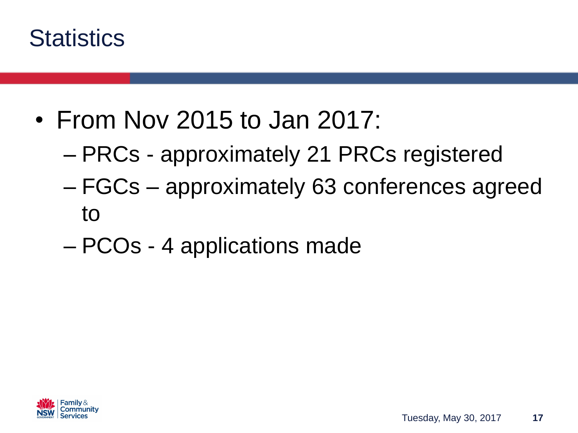

- From Nov 2015 to Jan 2017:
	- PRCs approximately 21 PRCs registered
	- FGCs approximately 63 conferences agreed to
	- PCOs 4 applications made

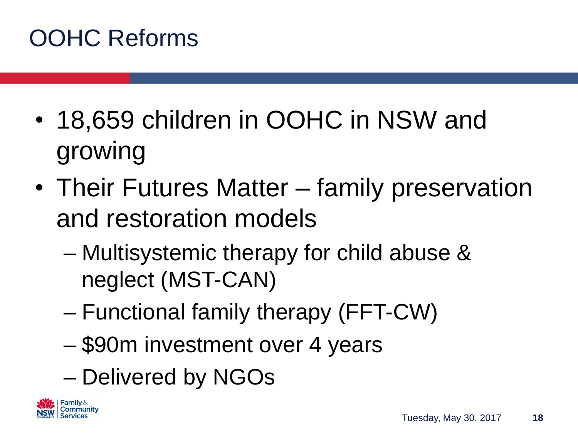# OOHC Reforms

- 18,659 children in OOHC in NSW and growing
- Their Futures Matter family preservation and restoration models
	- Multisystemic therapy for child abuse & neglect (MST-CAN)
	- Functional family therapy (FFT-CW)
	- \$90m investment over 4 years
	- Delivered by NGOs

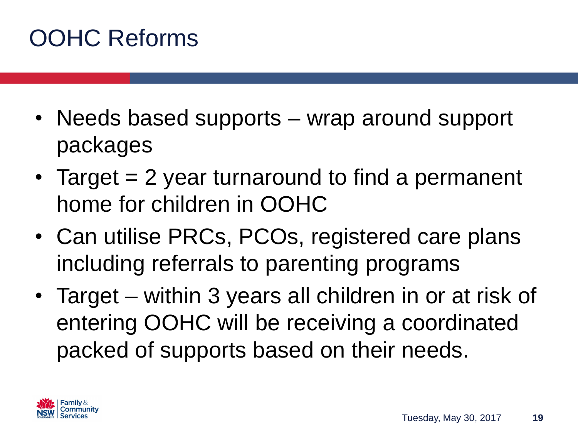## OOHC Reforms

- Needs based supports wrap around support packages
- Target = 2 year turnaround to find a permanent home for children in OOHC
- Can utilise PRCs, PCOs, registered care plans including referrals to parenting programs
- Target within 3 years all children in or at risk of entering OOHC will be receiving a coordinated packed of supports based on their needs.